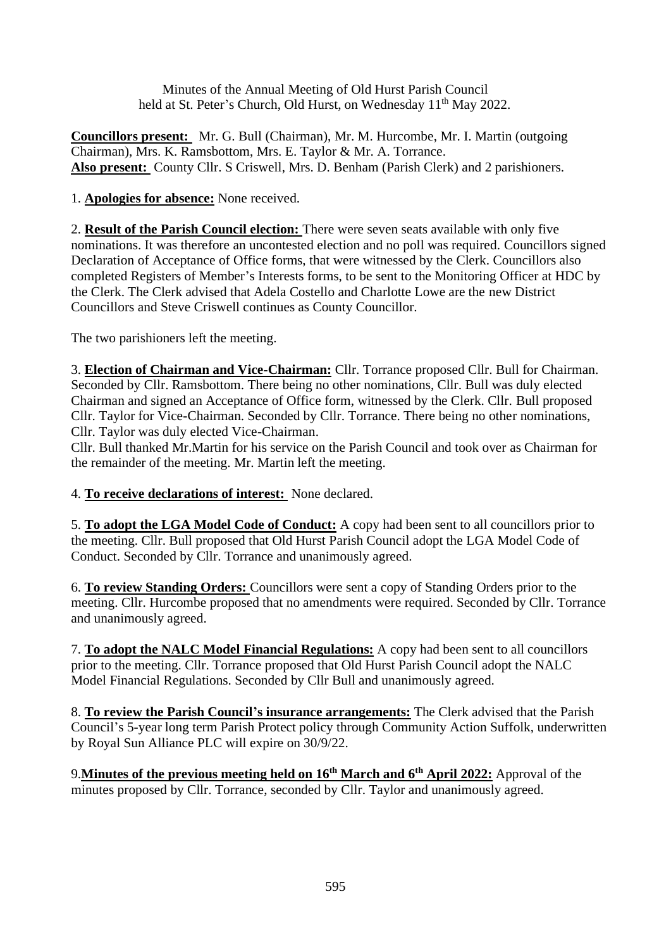Minutes of the Annual Meeting of Old Hurst Parish Council held at St. Peter's Church, Old Hurst, on Wednesday 11<sup>th</sup> May 2022.

**Councillors present:** Mr. G. Bull (Chairman), Mr. M. Hurcombe, Mr. I. Martin (outgoing Chairman), Mrs. K. Ramsbottom, Mrs. E. Taylor & Mr. A. Torrance. **Also present:** County Cllr. S Criswell, Mrs. D. Benham (Parish Clerk) and 2 parishioners.

## 1. **Apologies for absence:** None received.

2. **Result of the Parish Council election:** There were seven seats available with only five nominations. It was therefore an uncontested election and no poll was required. Councillors signed Declaration of Acceptance of Office forms, that were witnessed by the Clerk. Councillors also completed Registers of Member's Interests forms, to be sent to the Monitoring Officer at HDC by the Clerk. The Clerk advised that Adela Costello and Charlotte Lowe are the new District Councillors and Steve Criswell continues as County Councillor.

The two parishioners left the meeting.

3. **Election of Chairman and Vice-Chairman:** Cllr. Torrance proposed Cllr. Bull for Chairman. Seconded by Cllr. Ramsbottom. There being no other nominations, Cllr. Bull was duly elected Chairman and signed an Acceptance of Office form, witnessed by the Clerk. Cllr. Bull proposed Cllr. Taylor for Vice-Chairman. Seconded by Cllr. Torrance. There being no other nominations, Cllr. Taylor was duly elected Vice-Chairman.

Cllr. Bull thanked Mr.Martin for his service on the Parish Council and took over as Chairman for the remainder of the meeting. Mr. Martin left the meeting.

4. **To receive declarations of interest:** None declared.

5. **To adopt the LGA Model Code of Conduct:** A copy had been sent to all councillors prior to the meeting. Cllr. Bull proposed that Old Hurst Parish Council adopt the LGA Model Code of Conduct. Seconded by Cllr. Torrance and unanimously agreed.

6. **To review Standing Orders:** Councillors were sent a copy of Standing Orders prior to the meeting. Cllr. Hurcombe proposed that no amendments were required. Seconded by Cllr. Torrance and unanimously agreed.

7. **To adopt the NALC Model Financial Regulations:** A copy had been sent to all councillors prior to the meeting. Cllr. Torrance proposed that Old Hurst Parish Council adopt the NALC Model Financial Regulations. Seconded by Cllr Bull and unanimously agreed.

8. **To review the Parish Council's insurance arrangements:** The Clerk advised that the Parish Council's 5-year long term Parish Protect policy through Community Action Suffolk, underwritten by Royal Sun Alliance PLC will expire on 30/9/22.

9.**Minutes of the previous meeting held on 16th March and 6th April 2022:** Approval of the minutes proposed by Cllr. Torrance, seconded by Cllr. Taylor and unanimously agreed.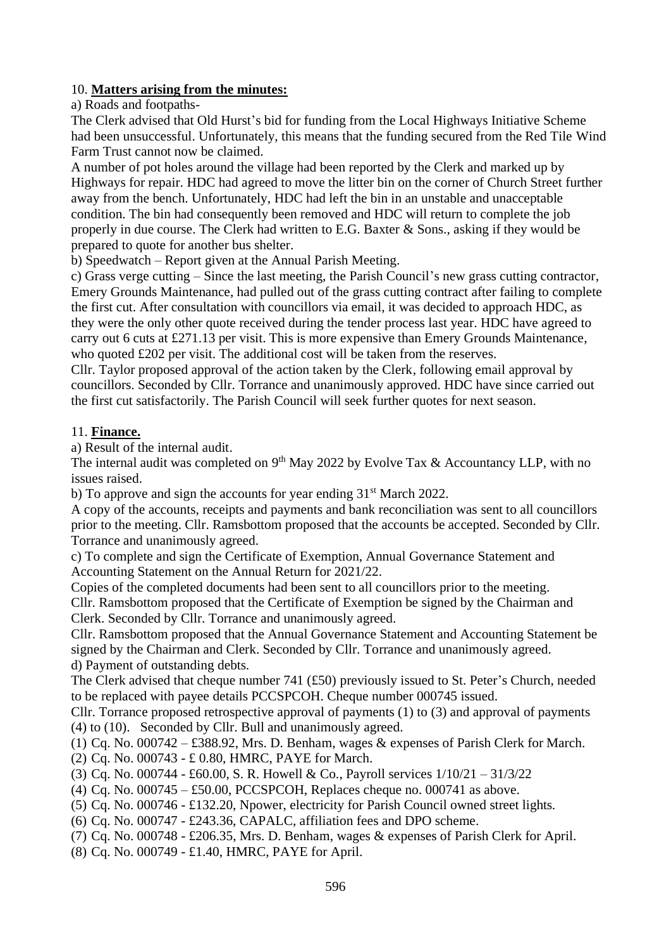### 10. **Matters arising from the minutes:**

a) Roads and footpaths-

The Clerk advised that Old Hurst's bid for funding from the Local Highways Initiative Scheme had been unsuccessful. Unfortunately, this means that the funding secured from the Red Tile Wind Farm Trust cannot now be claimed.

A number of pot holes around the village had been reported by the Clerk and marked up by Highways for repair. HDC had agreed to move the litter bin on the corner of Church Street further away from the bench. Unfortunately, HDC had left the bin in an unstable and unacceptable condition. The bin had consequently been removed and HDC will return to complete the job properly in due course. The Clerk had written to E.G. Baxter & Sons., asking if they would be prepared to quote for another bus shelter.

b) Speedwatch – Report given at the Annual Parish Meeting.

c) Grass verge cutting – Since the last meeting, the Parish Council's new grass cutting contractor, Emery Grounds Maintenance, had pulled out of the grass cutting contract after failing to complete the first cut. After consultation with councillors via email, it was decided to approach HDC, as they were the only other quote received during the tender process last year. HDC have agreed to carry out 6 cuts at £271.13 per visit. This is more expensive than Emery Grounds Maintenance, who quoted £202 per visit. The additional cost will be taken from the reserves.

Cllr. Taylor proposed approval of the action taken by the Clerk, following email approval by councillors. Seconded by Cllr. Torrance and unanimously approved. HDC have since carried out the first cut satisfactorily. The Parish Council will seek further quotes for next season.

#### 11. **Finance.**

a) Result of the internal audit.

The internal audit was completed on  $9<sup>th</sup>$  May 2022 by Evolve Tax & Accountancy LLP, with no issues raised.

b) To approve and sign the accounts for year ending  $31<sup>st</sup>$  March 2022.

A copy of the accounts, receipts and payments and bank reconciliation was sent to all councillors prior to the meeting. Cllr. Ramsbottom proposed that the accounts be accepted. Seconded by Cllr. Torrance and unanimously agreed.

c) To complete and sign the Certificate of Exemption, Annual Governance Statement and Accounting Statement on the Annual Return for 2021/22.

Copies of the completed documents had been sent to all councillors prior to the meeting.

Cllr. Ramsbottom proposed that the Certificate of Exemption be signed by the Chairman and Clerk. Seconded by Cllr. Torrance and unanimously agreed.

Cllr. Ramsbottom proposed that the Annual Governance Statement and Accounting Statement be signed by the Chairman and Clerk. Seconded by Cllr. Torrance and unanimously agreed. d) Payment of outstanding debts.

The Clerk advised that cheque number 741 (£50) previously issued to St. Peter's Church, needed to be replaced with payee details PCCSPCOH. Cheque number 000745 issued.

Cllr. Torrance proposed retrospective approval of payments (1) to (3) and approval of payments (4) to (10). Seconded by Cllr. Bull and unanimously agreed.

(1) Cq. No. 000742 – £388.92, Mrs. D. Benham, wages & expenses of Parish Clerk for March.

(2) Cq. No. 000743 - £ 0.80, HMRC, PAYE for March.

(3) Cq. No. 000744 - £60.00, S. R. Howell & Co., Payroll services 1/10/21 – 31/3/22

(4) Cq. No.  $000745 - £50.00$ , PCCSPCOH, Replaces cheque no.  $000741$  as above.

(5) Cq. No. 000746 - £132.20, Npower, electricity for Parish Council owned street lights.

(6) Cq. No. 000747 - £243.36, CAPALC, affiliation fees and DPO scheme.

(7) Cq. No. 000748 - £206.35, Mrs. D. Benham, wages & expenses of Parish Clerk for April.

(8) Cq. No. 000749 - £1.40, HMRC, PAYE for April.